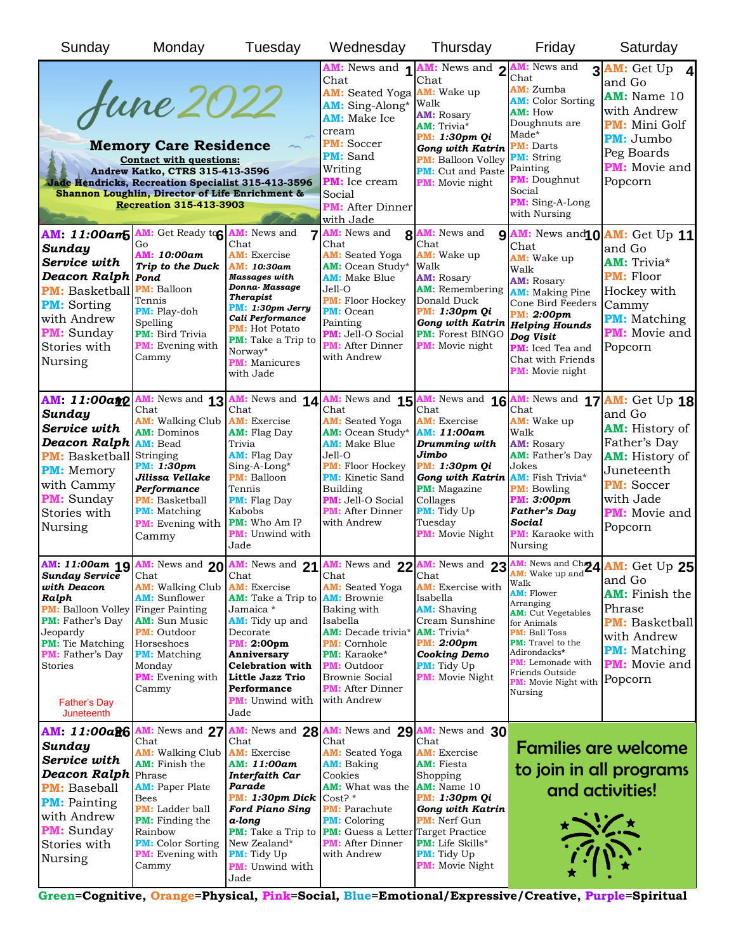| Sunday                                                                                                                                                                                                                                                                  | Monday                                                                                                                                                                                                                                 | Tuesday                                                                                                                                                                                                                                             | Wednesday                                                                                                                                                                                                                                                                                                   | Thursday                                                                                                                                                                                                                         | Friday                                                                                                                                                                                                                                                                     | Saturday                                                                                                                                                                                                                                                      |
|-------------------------------------------------------------------------------------------------------------------------------------------------------------------------------------------------------------------------------------------------------------------------|----------------------------------------------------------------------------------------------------------------------------------------------------------------------------------------------------------------------------------------|-----------------------------------------------------------------------------------------------------------------------------------------------------------------------------------------------------------------------------------------------------|-------------------------------------------------------------------------------------------------------------------------------------------------------------------------------------------------------------------------------------------------------------------------------------------------------------|----------------------------------------------------------------------------------------------------------------------------------------------------------------------------------------------------------------------------------|----------------------------------------------------------------------------------------------------------------------------------------------------------------------------------------------------------------------------------------------------------------------------|---------------------------------------------------------------------------------------------------------------------------------------------------------------------------------------------------------------------------------------------------------------|
| <b>June 2022</b><br><b>Memory Care Residence</b><br><b>Contact with questions:</b><br>Andrew Katko, CTRS 315-413-3596<br><b>Jade Hendricks, Recreation Specialist 315-413-3596</b><br>Shannon Loughlin, Director of Life Enrichment &<br><b>Recreation 315-413-3903</b> |                                                                                                                                                                                                                                        |                                                                                                                                                                                                                                                     | AM: News and 1<br>Chat<br>AM: Seated Yoga <b>AM:</b> Wake up<br>AM: Sing-Along*<br>AM: Make Ice<br>cream<br><b>PM:</b> Soccer<br><b>PM:</b> Sand<br>Writing<br><b>PM:</b> Ice cream<br>Social<br><b>PM:</b> After Dinner<br><u>with Jade</u>                                                                | AM: News and 2<br>Chat<br>Walk<br><b>AM: Rosary</b><br><b>AM:</b> Trivia*<br><b>PM: 1:30pm Qi</b><br><b>Gong with Katrin</b><br><b>PM:</b> Balloon Volley<br><b>PM:</b> Cut and Paste<br><b>PM:</b> Movie night                  | <b>AM:</b> News and<br>Chat<br><b>AM:</b> Zumba<br><b>AM:</b> Color Sorting<br><b>AM: How</b><br>Doughnuts are<br>Made*<br><b>PM:</b> Darts<br><b>PM:</b> String<br>Painting<br><b>PM:</b> Doughnut<br>Social<br>PM: Sing-A-Long<br>with Nursing                           | 3 AM: Get Up<br>and Go<br><b>AM:</b> Name 10<br>with Andrew<br><b>PM:</b> Mini Golf<br><b>PM:</b> Jumbo<br>Peg Boards<br><b>PM:</b> Movie and<br>Popcorn                                                                                                      |
| AM: 11:00am5<br>Sunday<br>Service with<br><b>Deacon Ralph Pond</b><br><b>PM:</b> Basketball<br><b>PM:</b> Sorting<br>with Andrew<br><b>PM:</b> Sunday<br>Stories with<br>Nursing                                                                                        | AM: Get Ready to AM: News and<br>Go<br>AM: 10:00am<br>Trip to the Duck<br><b>PM: Balloon</b><br>Tennis<br><b>PM:</b> Play-doh<br>Spelling<br><b>PM:</b> Bird Trivia<br><b>PM:</b> Evening with<br>Cammy                                | 7<br>Chat<br><b>AM:</b> Exercise<br>AM: 10:30am<br><b>Massages</b> with<br>Donna-Massage<br><b>Therapist</b><br>PM: 1:30pm Jerry<br>Cali Performance<br><b>PM:</b> Hot Potato<br>PM: Take a Trip to<br>Norway*<br><b>PM:</b> Manicures<br>with Jade | <b>AM:</b> News and<br>Chat<br><b>AM:</b> Seated Yoga<br><b>AM:</b> Ocean Study*<br><b>AM:</b> Make Blue<br>$Jel1-O$<br>PM: Floor Hockey<br><b>PM:</b> Ocean<br>Painting<br><b>PM:</b> Jell-O Social<br><b>PM:</b> After Dinner<br>with Andrew                                                              | 8 AM: News and<br>Chat<br><b>AM:</b> Wake up<br>Walk<br><b>AM: Rosary</b><br><b>AM:</b> Remembering<br>Donald Duck<br><b>PM: 1:30pm Qi</b><br><b>Gong with Katrin</b><br><b>PM: Forest BINGO</b><br><b>PM:</b> Movie night       | Chat<br>AM: Wake up<br>Walk<br><b>AM: Rosary</b><br><b>AM:</b> Making Pine<br>Cone Bird Feeders<br>PM: 2:00pm<br><b>Helping Hounds</b><br>Dog Visit<br>PM: Iced Tea and<br>Chat with Friends<br><b>PM:</b> Movie night                                                     | 9 AM: News and 0 AM: Get Up 11<br>and Go<br><b>AM:</b> Trivia*<br><b>PM:</b> Floor<br>Hockey with<br>Cammy<br><b>PM:</b> Matching<br><b>PM:</b> Movie and<br>Popcorn                                                                                          |
| AM: 11:00amp<br>Sunday<br>Service with<br><b>Deacon Ralph</b><br><b>PM:</b> Basketball Stringing<br><b>PM:</b> Memory<br>with Cammy<br><b>PM:</b> Sunday<br>Stories with<br>Nursing                                                                                     | AM: News and 13<br>Chat<br><b>AM:</b> Walking Club<br><b>AM:</b> Dominos<br><b>AM: Bead</b><br><b>PM: 1:30pm</b><br>Jilissa Vellake<br>Performance<br><b>PM:</b> Basketball<br><b>PM:</b> Matching<br><b>PM:</b> Evening with<br>Cammy | AM: News and 14<br>Chat<br><b>AM:</b> Exercise<br><b>AM:</b> Flag Day<br>Trivia<br><b>AM:</b> Flag Day<br>Sing-A-Long*<br><b>PM:</b> Balloon<br>Tennis<br><b>PM:</b> Flag Day<br>Kabobs<br><b>PM:</b> Who Am I?<br><b>PM:</b> Unwind with<br>Jade   | Chat<br><b>AM:</b> Seated Yoga<br><b>AM:</b> Ocean Study*<br>AM: Make Blue<br>$Jell-O$<br><b>PM:</b> Floor Hockey<br><b>PM:</b> Kinetic Sand<br>Building<br><b>PM:</b> Jell-O Social<br><b>PM:</b> After Dinner<br>with Andrew                                                                              | Chat<br><b>AM:</b> Exercise<br><b>AM: 11:00am</b><br>Drumming with<br>Jimbo<br><b>PM: 1:30pm Qi</b><br><b>Gong with Katrin</b><br><b>PM:</b> Magazine<br>Collages<br><b>PM:</b> Tidy Up<br>Tuesday<br><b>PM:</b> Movie Night     | Chat<br>AM: Wake up<br>Walk<br><b>AM: Rosary</b><br><b>AM:</b> Father's Day<br>Jokes<br><b>AM:</b> Fish Trivia*<br><b>PM:</b> Bowling<br><b>PM: 3:00pm</b><br><b>Father's Day</b><br>Social<br><b>PM:</b> Karaoke with<br>Nursing                                          | AM: News and 15 AM: News and 16 AM: News and 17 AM: Get Up 18<br>and Go<br><b>AM:</b> History of<br>Father's Day<br><b>AM:</b> History of<br>Juneteenth<br><b>PM:</b> Soccer<br>with Jade<br><b>PM:</b> Movie and<br>Popcorn                                  |
| <b>Sunday Service</b><br>with Deacon<br>Ralph<br><b>PM:</b> Balloon Volley Finger Painting<br><b>PM:</b> Father's Day<br>Jeopardy<br><b>PM:</b> Tie Matching<br><b>PM:</b> Father's Day<br>Stories<br>Father's Day<br>Juneteenth                                        | Chat<br><b>AM:</b> Walking Club<br><b>AM:</b> Sunflower<br><b>AM:</b> Sun Music<br><b>PM:</b> Outdoor<br>Horseshoes<br><b>PM:</b> Matching<br>Monday<br><b>PM:</b> Evening with<br>Cammy                                               | Chat<br><b>AM:</b> Exercise<br><b>AM:</b> Take a Trip to<br>Jamaica *<br><b>AM:</b> Tidy up and<br>Decorate<br><b>PM: 2:00pm</b><br>Anniversary<br><b>Celebration with</b><br>Little Jazz Trio<br>Performance<br><b>PM:</b> Unwind with<br>Jade     | Chat<br><b>AM:</b> Seated Yoga<br><b>AM:</b> Brownie<br>Baking with<br>Isabella<br><b>AM:</b> Decade trivia*<br><b>PM:</b> Cornhole<br><b>PM:</b> Karaoke*<br><b>PM:</b> Outdoor<br>Brownie Social<br><b>PM:</b> After Dinner<br>with Andrew                                                                | Chat<br><b>AM:</b> Exercise with<br>Isabella<br><b>AM:</b> Shaving<br>Cream Sunshine<br><b>AM:</b> Trivia*<br><b>PM: 2:00pm</b><br><b>Cooking Demo</b><br><b>PM:</b> Tidy Up<br><b>PM:</b> Movie Night                           | <b>AM:</b> Wake up and'<br>Walk<br><b>AM: Flower</b><br>Arranging<br><b>AM:</b> Cut Vegetables<br>for Animals<br><b>PM: Ball Toss</b><br><b>PM:</b> Travel to the<br>Adirondacks*<br><b>PM:</b> Lemonade with<br>Friends Outside<br><b>PM:</b> Movie Night with<br>Nursing | AM: 11:00am 19 AM: News and 20 AM: News and 21 AM: News and 22 AM: News and 23 AM: News and Ch24 AM: Get Up 25<br>and Go<br><b>AM:</b> Finish the<br>Phrase<br><b>PM:</b> Basketball<br>with Andrew<br><b>PM:</b> Matching<br><b>PM:</b> Movie and<br>Popcorn |
| AM: 11:00a26<br>Sunday<br>Service with<br><b>Deacon Ralph</b> Phrase<br><b>PM:</b> Baseball<br><b>PM:</b> Painting<br>with Andrew<br><b>PM:</b> Sunday<br>Stories with<br>Nursing                                                                                       | Chat<br><b>AM:</b> Walking Club<br><b>AM:</b> Finish the<br><b>AM: Paper Plate</b><br>Bees<br><b>PM:</b> Ladder ball<br><b>PM:</b> Finding the<br>Rainbow<br><b>PM:</b> Color Sorting<br><b>PM:</b> Evening with<br>Cammy              | Chat<br><b>AM:</b> Exercise<br>AM: 11:00am<br>Interfaith Car<br>Parade<br>PM: 1:30pm Dick<br><b>Ford Piano Sing</b><br>a-long<br><b>PM:</b> Take a Trip to<br>New Zealand*<br><b>PM:</b> Tidy Up<br><b>PM:</b> Unwind with<br>Jade                  | AM: News and 27 AM: News and 28 AM: News and 29 AM: News and 30<br>Chat<br><b>AM:</b> Seated Yoga<br><b>AM:</b> Baking<br>Cookies<br><b>AM:</b> What was the<br>Cost?<br><b>PM:</b> Parachute<br><b>PM:</b> Coloring<br><b>PM:</b> Guess a Letter Target Practice<br><b>PM:</b> After Dinner<br>with Andrew | Chat<br><b>AM:</b> Exercise<br><b>AM:</b> Fiesta<br>Shopping<br><b>AM:</b> Name 10<br><b>PM: 1:30pm Qi</b><br><b>Gong with Katrin</b><br><b>PM:</b> Nerf Gun<br>PM: Life Skills*<br><b>PM:</b> Tidy Up<br><b>PM:</b> Movie Night |                                                                                                                                                                                                                                                                            | <b>Families are welcome</b><br>to join in all programs<br>and activities!                                                                                                                                                                                     |

**Green=Cognitive, Orange=Physical, Pink=Social, Blue=Emotional/Expressive/Creative, Purple=Spiritual**